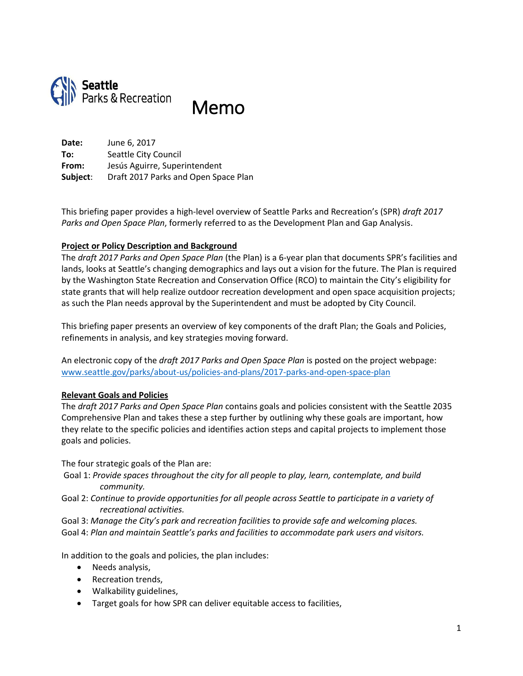

Memo

**Date:** June 6, 2017 **To:** Seattle City Council **From:** Jesús Aguirre, Superintendent **Subject**: Draft 2017 Parks and Open Space Plan

This briefing paper provides a high-level overview of Seattle Parks and Recreation's (SPR) *draft 2017 Parks and Open Space Plan*, formerly referred to as the Development Plan and Gap Analysis.

### **Project or Policy Description and Background**

The *draft 2017 Parks and Open Space Plan* (the Plan) is a 6-year plan that documents SPR's facilities and lands, looks at Seattle's changing demographics and lays out a vision for the future. The Plan is required by the Washington State Recreation and Conservation Office (RCO) to maintain the City's eligibility for state grants that will help realize outdoor recreation development and open space acquisition projects; as such the Plan needs approval by the Superintendent and must be adopted by City Council.

This briefing paper presents an overview of key components of the draft Plan; the Goals and Policies, refinements in analysis, and key strategies moving forward.

An electronic copy of the *draft 2017 Parks and Open Space Plan* is posted on the project webpage: [www.seattle.gov/parks/about-us/policies-and-plans/2017-parks-and-open-space-plan](http://www.seattle.gov/parks/about-us/policies-and-plans/2017-parks-and-open-space-plan)

### **Relevant Goals and Policies**

The *draft 2017 Parks and Open Space Plan* contains goals and policies consistent with the Seattle 2035 Comprehensive Plan and takes these a step further by outlining why these goals are important, how they relate to the specific policies and identifies action steps and capital projects to implement those goals and policies.

The four strategic goals of the Plan are:

- Goal 1: *Provide spaces throughout the city for all people to play, learn, contemplate, and build community.*
- Goal 2: *Continue to provide opportunities for all people across Seattle to participate in a variety of recreational activities.*
- Goal 3: *Manage the City's park and recreation facilities to provide safe and welcoming places.*
- Goal 4: *Plan and maintain Seattle's parks and facilities to accommodate park users and visitors.*

In addition to the goals and policies, the plan includes:

- Needs analysis,
- Recreation trends,
- Walkability guidelines,
- Target goals for how SPR can deliver equitable access to facilities,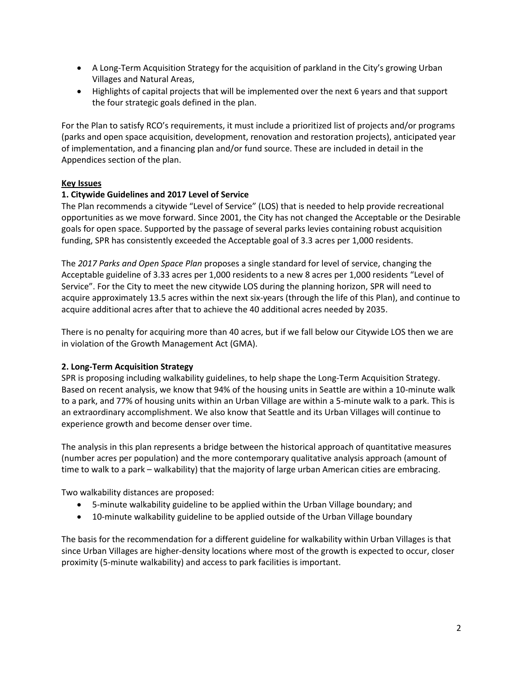- A Long-Term Acquisition Strategy for the acquisition of parkland in the City's growing Urban Villages and Natural Areas,
- Highlights of capital projects that will be implemented over the next 6 years and that support the four strategic goals defined in the plan.

For the Plan to satisfy RCO's requirements, it must include a prioritized list of projects and/or programs (parks and open space acquisition, development, renovation and restoration projects), anticipated year of implementation, and a financing plan and/or fund source. These are included in detail in the Appendices section of the plan.

# **Key Issues**

## **1. Citywide Guidelines and 2017 Level of Service**

The Plan recommends a citywide "Level of Service" (LOS) that is needed to help provide recreational opportunities as we move forward. Since 2001, the City has not changed the Acceptable or the Desirable goals for open space. Supported by the passage of several parks levies containing robust acquisition funding, SPR has consistently exceeded the Acceptable goal of 3.3 acres per 1,000 residents.

The *2017 Parks and Open Space Plan* proposes a single standard for level of service, changing the Acceptable guideline of 3.33 acres per 1,000 residents to a new 8 acres per 1,000 residents "Level of Service". For the City to meet the new citywide LOS during the planning horizon, SPR will need to acquire approximately 13.5 acres within the next six-years (through the life of this Plan), and continue to acquire additional acres after that to achieve the 40 additional acres needed by 2035.

There is no penalty for acquiring more than 40 acres, but if we fall below our Citywide LOS then we are in violation of the Growth Management Act (GMA).

### **2. Long-Term Acquisition Strategy**

SPR is proposing including walkability guidelines, to help shape the Long-Term Acquisition Strategy. Based on recent analysis, we know that 94% of the housing units in Seattle are within a 10-minute walk to a park, and 77% of housing units within an Urban Village are within a 5-minute walk to a park. This is an extraordinary accomplishment. We also know that Seattle and its Urban Villages will continue to experience growth and become denser over time.

The analysis in this plan represents a bridge between the historical approach of quantitative measures (number acres per population) and the more contemporary qualitative analysis approach (amount of time to walk to a park – walkability) that the majority of large urban American cities are embracing.

Two walkability distances are proposed:

- 5-minute walkability guideline to be applied within the Urban Village boundary; and
- 10-minute walkability guideline to be applied outside of the Urban Village boundary

The basis for the recommendation for a different guideline for walkability within Urban Villages is that since Urban Villages are higher-density locations where most of the growth is expected to occur, closer proximity (5-minute walkability) and access to park facilities is important.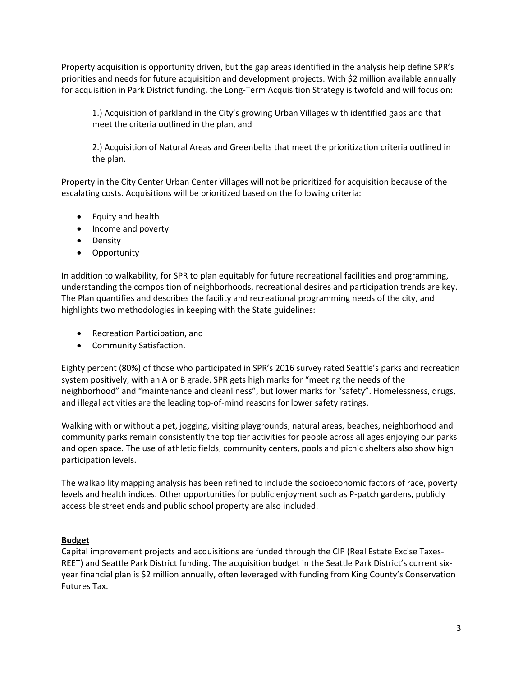Property acquisition is opportunity driven, but the gap areas identified in the analysis help define SPR's priorities and needs for future acquisition and development projects. With \$2 million available annually for acquisition in Park District funding, the Long-Term Acquisition Strategy is twofold and will focus on:

1.) Acquisition of parkland in the City's growing Urban Villages with identified gaps and that meet the criteria outlined in the plan, and

2.) Acquisition of Natural Areas and Greenbelts that meet the prioritization criteria outlined in the plan.

Property in the City Center Urban Center Villages will not be prioritized for acquisition because of the escalating costs. Acquisitions will be prioritized based on the following criteria:

- Equity and health
- Income and poverty
- Density
- **•** Opportunity

In addition to walkability, for SPR to plan equitably for future recreational facilities and programming, understanding the composition of neighborhoods, recreational desires and participation trends are key. The Plan quantifies and describes the facility and recreational programming needs of the city, and highlights two methodologies in keeping with the State guidelines:

- Recreation Participation, and
- Community Satisfaction.

Eighty percent (80%) of those who participated in SPR's 2016 survey rated Seattle's parks and recreation system positively, with an A or B grade. SPR gets high marks for "meeting the needs of the neighborhood" and "maintenance and cleanliness", but lower marks for "safety". Homelessness, drugs, and illegal activities are the leading top-of-mind reasons for lower safety ratings.

Walking with or without a pet, jogging, visiting playgrounds, natural areas, beaches, neighborhood and community parks remain consistently the top tier activities for people across all ages enjoying our parks and open space. The use of athletic fields, community centers, pools and picnic shelters also show high participation levels.

The walkability mapping analysis has been refined to include the socioeconomic factors of race, poverty levels and health indices. Other opportunities for public enjoyment such as P-patch gardens, publicly accessible street ends and public school property are also included.

### **Budget**

Capital improvement projects and acquisitions are funded through the CIP (Real Estate Excise Taxes-REET) and Seattle Park District funding. The acquisition budget in the Seattle Park District's current sixyear financial plan is \$2 million annually, often leveraged with funding from King County's Conservation Futures Tax.